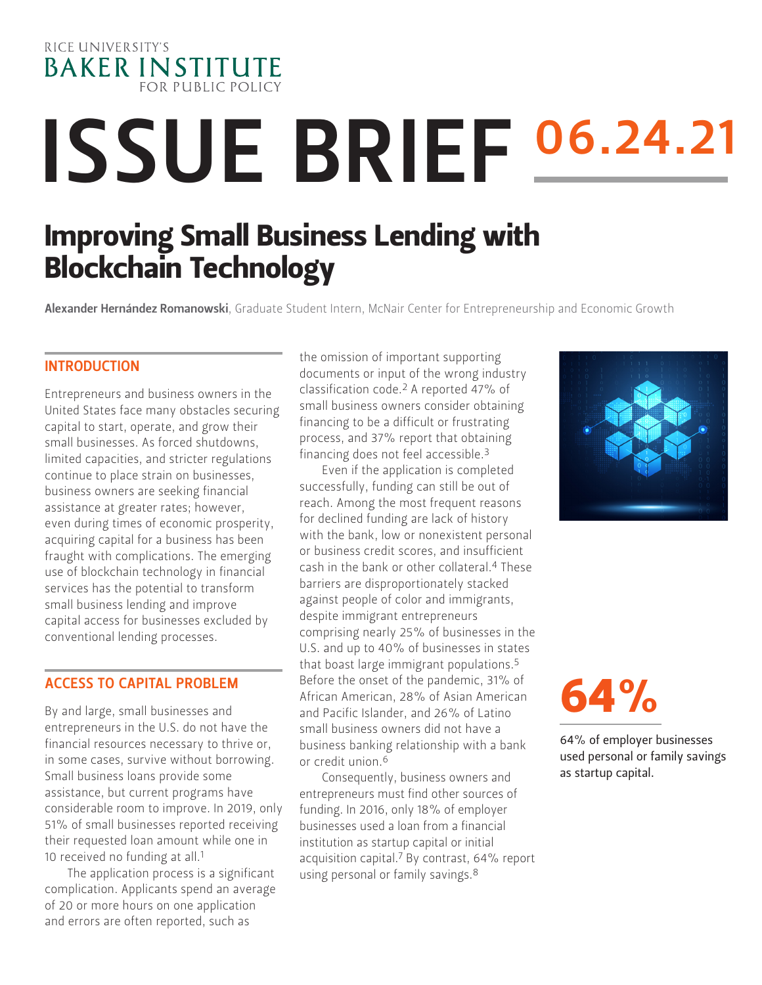

# **ISSUE BRIEF 06.24.21**

### Improving Small Business Lending with Blockchain Technology

Alexander Hernández Romanowski, Graduate Student Intern, McNair Center for Entrepreneurship and Economic Growth

#### **INTRODUCTION**

Entrepreneurs and business owners in the United States face many obstacles securing capital to start, operate, and grow their small businesses. As forced shutdowns, limited capacities, and stricter regulations continue to place strain on businesses, business owners are seeking financial assistance at greater rates; however, even during times of economic prosperity, acquiring capital for a business has been fraught with complications. The emerging use of blockchain technology in financial services has the potential to transform small business lending and improve capital access for businesses excluded by conventional lending processes.

#### ACCESS TO CAPITAL PROBLEM

By and large, small businesses and entrepreneurs in the U.S. do not have the financial resources necessary to thrive or, in some cases, survive without borrowing. Small business loans provide some assistance, but current programs have considerable room to improve. In 2019, only 51% of small businesses reported receiving their requested loan amount while one in 10 received no funding at all.<sup>1</sup>

The application process is a significant complication. Applicants spend an average of 20 or more hours on one application and errors are often reported, such as

the omission of important supporting documents or input of the wrong industry classification code.2 A reported 47% of small business owners consider obtaining financing to be a difficult or frustrating process, and 37% report that obtaining financing does not feel accessible.3

Even if the application is completed successfully, funding can still be out of reach. Among the most frequent reasons for declined funding are lack of history with the bank, low or nonexistent personal or business credit scores, and insufficient cash in the bank or other collateral.4 These barriers are disproportionately stacked against people of color and immigrants, despite immigrant entrepreneurs comprising nearly 25% of businesses in the U.S. and up to 40% of businesses in states that boast large immigrant populations.5 Before the onset of the pandemic, 31% of African American, 28% of Asian American and Pacific Islander, and 26% of Latino small business owners did not have a business banking relationship with a bank or credit union.6

Consequently, business owners and entrepreneurs must find other sources of funding. In 2016, only 18% of employer businesses used a loan from a financial institution as startup capital or initial acquisition capital.7 By contrast, 64% report using personal or family savings.8



## 64%

64% of employer businesses used personal or family savings as startup capital.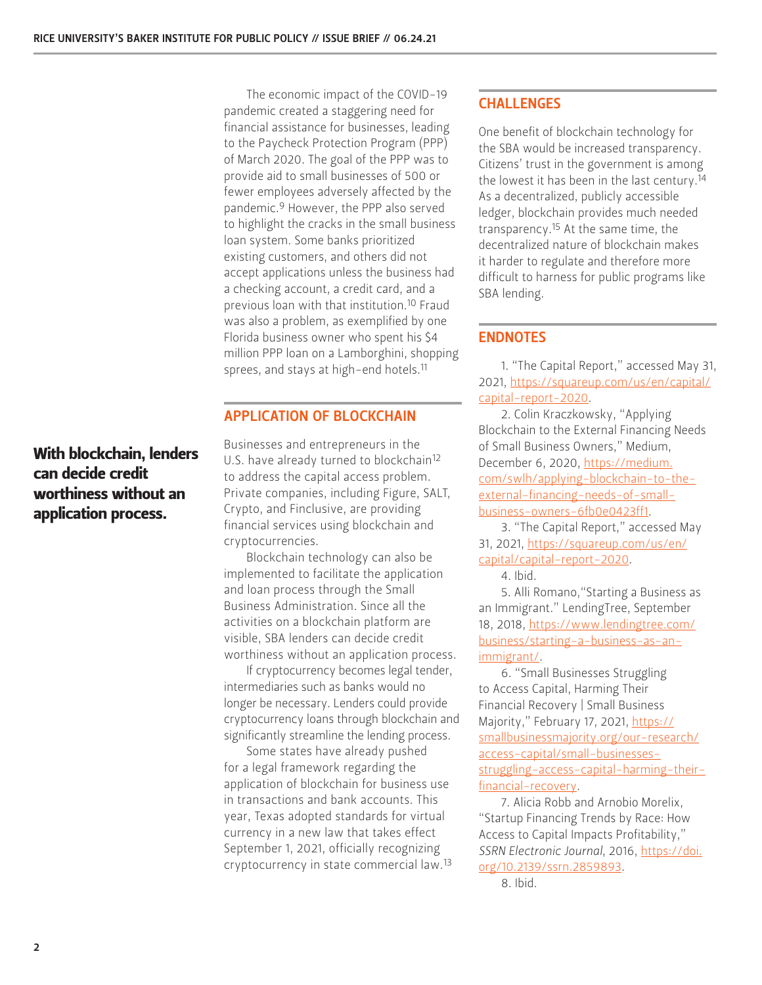The economic impact of the COVID-19 pandemic created a staggering need for financial assistance for businesses, leading to the Paycheck Protection Program (PPP) of March 2020. The goal of the PPP was to provide aid to small businesses of 500 or fewer employees adversely affected by the pandemic.9 However, the PPP also served to highlight the cracks in the small business loan system. Some banks prioritized existing customers, and others did not accept applications unless the business had a checking account, a credit card, and a previous loan with that institution.10 Fraud was also a problem, as exemplified by one Florida business owner who spent his \$4 million PPP loan on a Lamborghini, shopping sprees, and stays at high-end hotels.<sup>11</sup>

#### APPLICATION OF BLOCKCHAIN

Businesses and entrepreneurs in the U.S. have already turned to blockchain<sup>12</sup> to address the capital access problem. Private companies, including Figure, SALT, Crypto, and Finclusive, are providing financial services using blockchain and cryptocurrencies.

Blockchain technology can also be implemented to facilitate the application and loan process through the Small Business Administration. Since all the activities on a blockchain platform are visible, SBA lenders can decide credit worthiness without an application process.

If cryptocurrency becomes legal tender, intermediaries such as banks would no longer be necessary. Lenders could provide cryptocurrency loans through blockchain and significantly streamline the lending process.

Some states have already pushed for a legal framework regarding the application of blockchain for business use in transactions and bank accounts. This year, Texas adopted standards for virtual currency in a new law that takes effect September 1, 2021, officially recognizing cryptocurrency in state commercial law.13

#### CHALLENGES

One benefit of blockchain technology for the SBA would be increased transparency. Citizens' trust in the government is among the lowest it has been in the last century.14 As a decentralized, publicly accessible ledger, blockchain provides much needed transparency.15 At the same time, the decentralized nature of blockchain makes it harder to regulate and therefore more difficult to harness for public programs like SBA lending.

#### ENDNOTES

1. "The Capital Report," accessed May 31, 2021, [https://squareup.com/us/en/capital/](https://squareup.com/us/en/capital/capital-report-2020) [capital-report-2020.](https://squareup.com/us/en/capital/capital-report-2020)

2. Colin Kraczkowsky, "Applying Blockchain to the External Financing Needs of Small Business Owners," Medium, December 6, 2020, [https://medium.](https://medium.com/swlh/applying-blockchain-to-the-external-financing-needs-of-small-business-owners-6fb0e0423ff1) [com/swlh/applying-blockchain-to-the](https://medium.com/swlh/applying-blockchain-to-the-external-financing-needs-of-small-business-owners-6fb0e0423ff1)[external-financing-needs-of-small](https://medium.com/swlh/applying-blockchain-to-the-external-financing-needs-of-small-business-owners-6fb0e0423ff1)[business-owners-6fb0e0423ff1](https://medium.com/swlh/applying-blockchain-to-the-external-financing-needs-of-small-business-owners-6fb0e0423ff1).

3. "The Capital Report," accessed May 31, 2021, [https://squareup.com/us/en/](https://squareup.com/us/en/capital/capital-report-2020) [capital/capital-report-2020](https://squareup.com/us/en/capital/capital-report-2020).

4. Ibid.

5. Alli Romano,"Starting a Business as an Immigrant." LendingTree, September 18, 2018, [https://www.lendingtree.com/](https://www.lendingtree.com/business/starting-a-business-as-an-immigrant/) [business/starting-a-business-as-an](https://www.lendingtree.com/business/starting-a-business-as-an-immigrant/)[immigrant/.](https://www.lendingtree.com/business/starting-a-business-as-an-immigrant/)

6. "Small Businesses Struggling to Access Capital, Harming Their Financial Recovery | Small Business Majority," February 17, 2021, [https://](https://smallbusinessmajority.org/our-research/access-capital/small-businesses-struggling-access-capital-harming-their-financial-recovery) [smallbusinessmajority.org/our-research/](https://smallbusinessmajority.org/our-research/access-capital/small-businesses-struggling-access-capital-harming-their-financial-recovery) [access-capital/small-businesses](https://smallbusinessmajority.org/our-research/access-capital/small-businesses-struggling-access-capital-harming-their-financial-recovery)[struggling-access-capital-harming-their](https://smallbusinessmajority.org/our-research/access-capital/small-businesses-struggling-access-capital-harming-their-financial-recovery)[financial-recovery.](https://smallbusinessmajority.org/our-research/access-capital/small-businesses-struggling-access-capital-harming-their-financial-recovery)

7. Alicia Robb and Arnobio Morelix, "Startup Financing Trends by Race: How Access to Capital Impacts Profitability," *SSRN Electronic Journal*, 2016, [https://doi.](https://doi.org/10.2139/ssrn.2859893) [org/10.2139/ssrn.2859893.](https://doi.org/10.2139/ssrn.2859893)

8. Ibid.

#### With blockchain, lenders can decide credit worthiness without an application process.